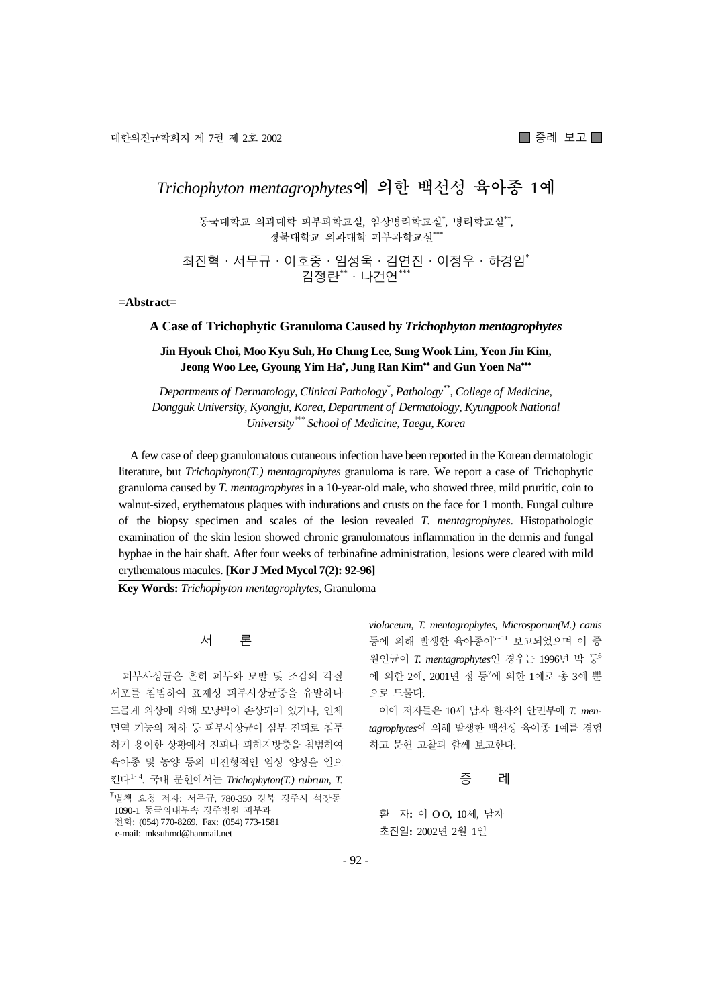# *Trichophyton mentagrophytes***에 의한 백선성 육아종** 1**예**

동국대학교 의과대학 피부과학교실, 임상병리학교실\* , 병리학교실\*\*, 경북대학교 의과대학 피부과학교실\*\*

최진혁·서무규·이호중·임성욱·김연진·이정우·하경임\* 김정란\*\*·나건연\*\*\*

**=Abstract=** 

#### **A Case of Trichophytic Granuloma Caused by** *Trichophyton mentagrophytes*

### **Jin Hyouk Choi, Moo Kyu Suh, Ho Chung Lee, Sung Wook Lim, Yeon Jin Kim, Jeong Woo Lee, Gyoung Yim Ha**\* **, Jung Ran Kim**\*\* **and Gun Yoen Na**\*\*\*

*Departments of Dermatology, Clinical Pathology\* , Pathology\*\*, College of Medicine, Dongguk University, Kyongju, Korea, Department of Dermatology, Kyungpook National University\*\*\* School of Medicine, Taegu, Korea* 

A few case of deep granulomatous cutaneous infection have been reported in the Korean dermatologic literature, but *Trichophyton(T.) mentagrophytes* granuloma is rare. We report a case of Trichophytic granuloma caused by *T. mentagrophytes* in a 10-year-old male, who showed three, mild pruritic, coin to walnut-sized, erythematous plaques with indurations and crusts on the face for 1 month. Fungal culture of the biopsy specimen and scales of the lesion revealed *T. mentagrophytes*. Histopathologic examination of the skin lesion showed chronic granulomatous inflammation in the dermis and fungal hyphae in the hair shaft. After four weeks of terbinafine administration, lesions were cleared with mild erythematous macules. **[Kor J Med Mycol 7(2): 92-96]** 

**Key Words:** *Trichophyton mentagrophytes*, Granuloma

서 론

피부사상균은 흔히 피부와 모발 및 조갑의 각질 세포를 침범하여 표재성 피부사상균증을 유발하나 드물게 외상에 의해 모낭벽이 손상되어 있거나, 인체 면역 기능의 저하 등 피부사상균이 심부 진피로 침투 하기 용이한 상황에서 진피나 피하지방층을 침범하여 육아종 및 농양 등의 비전형적인 임상 양상을 일으 킨다<sup>1</sup>~<sup>4</sup> . 국내 문헌에서는 *Trichophyton(T.) rubrum*, *T.*  *violaceum*, *T. mentagrophytes*, *Microsporum(M.) canis* 등에 의해 발생한 육아종이<sup>5</sup>~<sup>11</sup> 보고되었으며 이 중 원인균이 *T. mentagrophytes*인 경우는 1996년 박 등<sup>6</sup> 에 의한 2예, 2001년 정 등<sup>7</sup> 에 의한 1예로 총 3예 뿐 으로 드물다.

이에 저자들은 10세 남자 환자의 안면부에 *T. mentagrophytes*에 의해 발생한 백선성 육아종 1예를 경험 하고 문헌 고찰과 함께 보고한다.

#### 증 례

환 자: 이 OO, 10세, 남자 초진일**:** 2002년 2월 1일

<sup>&</sup>lt;sup>†</sup>별책 요청 저자: 서무규, 780-350 경북 경주시 석장동 1090-1 동국의대부속 경주병원 피부과 전화: (054) 770-8269, Fax: (054) 773-1581 e-mail: mksuhmd@hanmail.net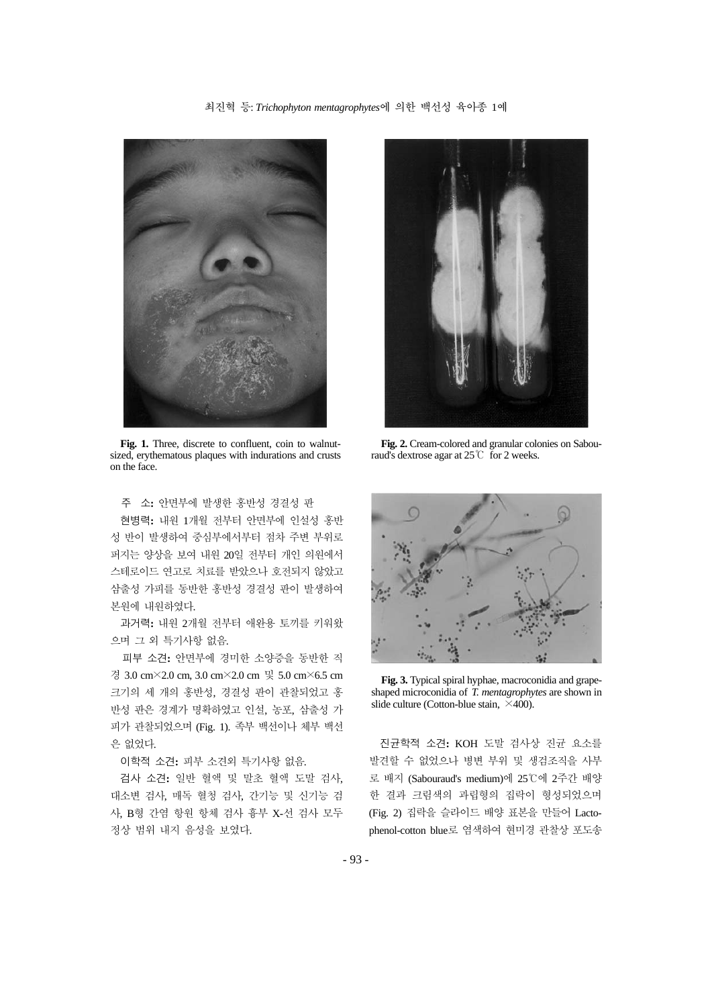최진혁 등: *Trichophyton mentagrophytes*에 의한 백선성 육아종 1예



Fig. 1. Three, discrete to confluent, coin to walnutsized, erythematous plaques with indurations and crusts on the face.

주 소**:** 안면부에 발생한 홍반성 경결성 판

현병력**:** 내원 1개월 전부터 안면부에 인설성 홍반 성 반이 발생하여 중심부에서부터 점차 주변 부위로 퍼지는 양상을 보여 내원 20일 전부터 개인 의원에서 스테로이드 연고로 치료를 받았으나 호전되지 않았고 삼출성 가피를 동반한 홍반성 경결성 판이 발생하여 본원에 내원하였다.

과거력**:** 내원 2개월 전부터 애완용 토끼를 키워왔 으며 그 외 특기사항 없음.

피부 소견**:** 안면부에 경미한 소양증을 동반한 직 경 3.0 cm×2.0 cm, 3.0 cm×2.0 cm 및 5.0 cm×6.5 cm 크기의 세 개의 홍반성, 경결성 판이 관찰되었고 홍 반성 판은 경계가 명확하였고 인설, 농포, 삼출성 가 피가 관찰되었으며 (Fig. 1). 족부 백선이나 체부 백선 은 없었다.

이학적 소견**:** 피부 소견외 특기사항 없음.

검사 소견**:** 일반 혈액 및 말초 혈액 도말 검사, 대소변 검사, 매독 혈청 검사, 간기능 및 신기능 검 사, B형 간염 항원 항체 검사 흉부 X-선 검사 모두 정상 범위 내지 음성을 보였다.



**Fig. 2.** Cream-colored and granular colonies on Sabouraud's dextrose agar at 25℃ for 2 weeks.



**Fig. 3.** Typical spiral hyphae, macroconidia and grapeshaped microconidia of *T. mentagrophytes* are shown in slide culture (Cotton-blue stain,  $\times$ 400).

진균학적 소견**:** KOH 도말 검사상 진균 요소를 발견할 수 없었으나 병변 부위 및 생검조직을 사부 로 배지 (Sabouraud's medium)에 25℃에 2주간 배양 한 결과 크림색의 과립형의 집락이 형성되었으며 (Fig. 2) 집락을 슬라이드 배양 표본을 만들어 Lactophenol-cotton blue로 염색하여 현미경 관찰상 포도송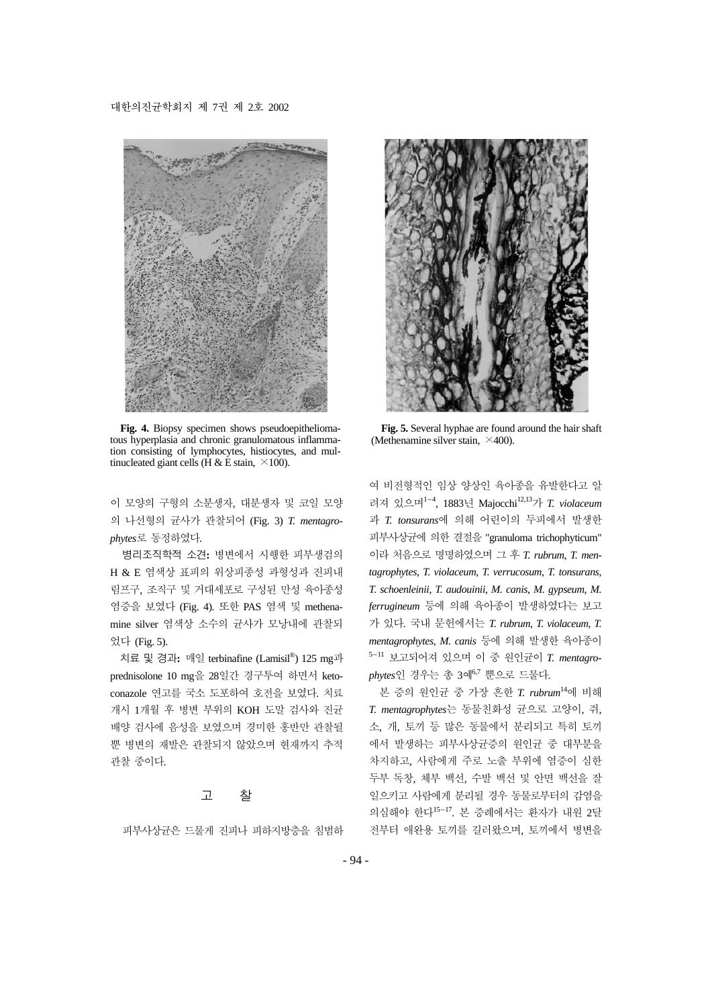#### 대한의진균학회지 제 7권 제 2호 2002



**Fig. 4.** Biopsy specimen shows pseudoepitheliomatous hyperplasia and chronic granulomatous inflammation consisting of lymphocytes, histiocytes, and multinucleated giant cells ( $\hat{H} \& \hat{E}$  stain,  $\times 100$ ).

이 모양의 구형의 소분생자, 대분생자 및 코일 모양 의 나선형의 균사가 관찰되어 (Fig. 3) *T. mentagrophytes*로 동정하였다.

병리조직학적 소견**:** 병변에서 시행한 피부생검의 H & E 염색상 표피의 위상피종성 과형성과 진피내 림프구, 조직구 및 거대세포로 구성된 만성 육아종성 염증을 보였다 (Fig. 4). 또한 PAS 염색 및 methenamine silver 염색상 소수의 균사가 모낭내에 관찰되 었다 (Fig. 5).

치료 및 경과**:** 매일 terbinafine (Lamisil®) 125 mg과 prednisolone 10 mg을 28일간 경구투여 하면서 ketoconazole 연고를 국소 도포하여 호전을 보였다. 치료 개시 1개월 후 병변 부위의 KOH 도말 검사와 진균 배양 검사에 음성을 보였으며 경미한 홍반만 관찰될 뿐 병변의 재발은 관찰되지 않았으며 현재까지 추적 관찰 중이다.

## 고 찰

피부사상균은 드물게 진피나 피하지방층을 침범하



**Fig. 5.** Several hyphae are found around the hair shaft (Methenamine silver stain,  $\times$ 400).

여 비전형적인 임상 양상인 육아종을 유발한다고 알 려져 있으며<sup>1</sup>~<sup>4</sup> , 1883년 Majocchi12,13가 *T. violaceum* 과 *T. tonsurans*에 의해 어린이의 두피에서 발생한 피부사상균에 의한 결절을 "granuloma trichophyticum" 이라 처음으로 명명하였으며 그 후 *T. rubrum*, *T. mentagrophytes*, *T. violaceum*, *T. verrucosum*, *T. tonsurans*, *T. schoenleinii*, *T. audouinii*, *M. canis*, *M. gypseum*, *M. ferrugineum* 등에 의해 육아종이 발생하였다는 보고 가 있다. 국내 문헌에서는 *T. rubrum*, *T. violaceum*, *T. mentagrophytes*, *M. canis* 등에 의해 발생한 육아종이 <sup>5</sup>~<sup>11</sup> 보고되어져 있으며 이 중 원인균이 *T. mentagrophytes*인 경우는 총 3예6,7 뿐으로 드물다.

본 증의 원인균 중 가장 흔한 *T. rubrum*<sup>14</sup>에 비해 *T. mentagrophytes*는 동물친화성 균으로 고양이, 쥐, 소, 개, 토끼 등 많은 동물에서 분리되고 특히 토끼 에서 발생하는 피부사상균증의 원인균 중 대부분을 차지하고, 사람에게 주로 노출 부위에 염증이 심한 두부 독창, 체부 백선, 수발 백선 및 안면 백선을 잘 일으키고 사람에게 분리될 경우 동물로부터의 감염을 의심해야 한다<sup>15</sup>~17. 본 증례에서는 환자가 내원 2달 전부터 애완용 토끼를 길러왔으며, 토끼에서 병변을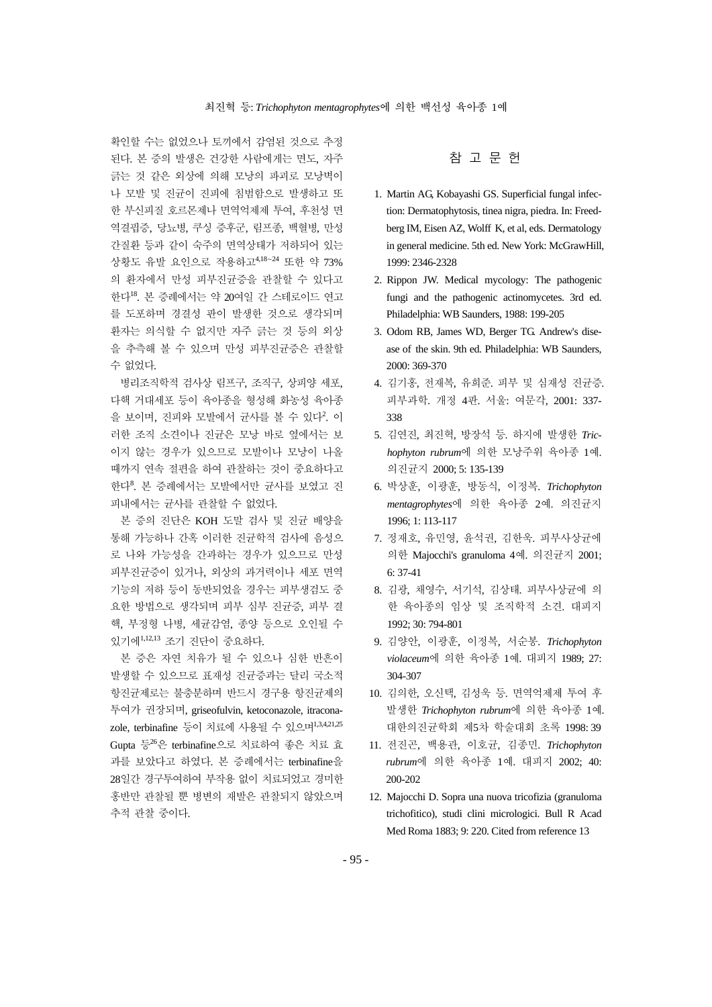확인할 수는 없었으나 토끼에서 감염된 것으로 추정 된다. 본 증의 발생은 건강한 사람에게는 면도, 자주 긁는 것 같은 외상에 의해 모낭의 파괴로 모낭벽이 나 모발 및 진균이 진피에 침범함으로 발생하고 또 한 부신피질 호르몬제나 면역억제제 투여, 후천성 면 역결핍증, 당뇨병, 쿠싱 증후군, 림프종, 백혈병, 만성 간질환 등과 같이 숙주의 면역상태가 저하되어 있는 상황도 유발 요인으로 작용하고4,18~<sup>24</sup> 또한 약 73% 의 환자에서 만성 피부진균증을 관찰할 수 있다고 한다18. 본 증례에서는 약 20여일 간 스테로이드 연고 를 도포하며 경결성 판이 발생한 것으로 생각되며 환자는 의식할 수 없지만 자주 긁는 것 등의 외상 을 추측해 볼 수 있으며 만성 피부진균증은 관찰할 수 없었다.

병리조직학적 검사상 림프구, 조직구, 상피양 세포, 다핵 거대세포 등이 육아종을 형성해 화농성 육아종 을 보이며, 진피와 모발에서 균사를 볼 수 있다<sup>2</sup>. 이 러한 조직 소견이나 진균은 모낭 바로 옆에서는 보 이지 않는 경우가 있으므로 모발이나 모낭이 나올 때까지 연속 절편을 하여 관찰하는 것이 중요하다고 한다<sup>8</sup>. 본 증례에서는 모발에서만 균사를 보였고 진 피내에서는 균사를 관찰할 수 없었다.

본 증의 진단은 KOH 도말 검사 및 진균 배양을 통해 가능하나 간혹 이러한 진균학적 검사에 음성으 로 나와 가능성을 간과하는 경우가 있으므로 만성 피부진균증이 있거나, 외상의 과거력이나 세포 면역 기능의 저하 등이 동반되었을 경우는 피부생검도 중 요한 방법으로 생각되며 피부 심부 진균증, 피부 결 핵, 부정형 나병, 세균감염, 종양 등으로 오인될 수 있기에1,12,13 조기 진단이 중요하다.

본 증은 자연 치유가 될 수 있으나 심한 반흔이 발생할 수 있으므로 표재성 진균증과는 달리 국소적 항진균제로는 불충분하며 반드시 경구용 항진균제의 투여가 권장되며, griseofulvin, ketoconazole, itraconazole, terbinafine 등이 치료에 사용될 수 있으며1,3,4,21,25 Gupta 등<sup>26</sup>은 terbinafine으로 치료하여 좋은 치료 효 과를 보았다고 하였다. 본 증례에서는 terbinafine을 28일간 경구투여하여 부작용 없이 치료되었고 경미한 홍반만 관찰될 뿐 병변의 재발은 관찰되지 않았으며 추적 관찰 중이다.

## 참 고 문 헌

- 1. Martin AG, Kobayashi GS. Superficial fungal infection: Dermatophytosis, tinea nigra, piedra. In: Freedberg IM, Eisen AZ, Wolff K, et al, eds. Dermatology in general medicine. 5th ed. New York: McGrawHill, 1999: 2346-2328
- 2. Rippon JW. Medical mycology: The pathogenic fungi and the pathogenic actinomycetes. 3rd ed. Philadelphia: WB Saunders, 1988: 199-205
- 3. Odom RB, James WD, Berger TG. Andrew's disease of the skin. 9th ed. Philadelphia: WB Saunders, 2000: 369-370
- 4. 김기홍, 전재복, 유희준. 피부 및 심재성 진균증. 피부과학. 개정 4판. 서울: 여문각, 2001: 337- 338
- 5. 김연진, 최진혁, 방장석 등. 하지에 발생한 *Trichophyton rubrum*에 의한 모낭주위 육아종 1예. 의진균지 2000; 5: 135-139
- 6. 박상훈, 이광훈, 방동식, 이정복. *Trichophyton mentagrophytes*에 의한 육아종 2예. 의진균지 1996; 1: 113-117
- 7. 정재호, 유민영, 윤석권, 김한욱. 피부사상균에 의한 Majocchi's granuloma 4예. 의진균지 2001; 6: 37-41
- 8. 김광, 채영수, 서기석, 김상태. 피부사상균에 의 한 육아종의 임상 및 조직학적 소견. 대피지 1992; 30: 794-801
- 9. 김양안, 이광훈, 이정복, 서순봉. *Trichophyton violaceum*에 의한 육아종 1예. 대피지 1989; 27: 304-307
- 10. 김의한, 오신택, 김성욱 등. 면역억제제 투여 후 발생한 *Trichophyton rubrum*에 의한 육아종 1예. 대한의진균학회 제5차 학술대회 초록 1998: 39
- 11. 전진곤, 백용관, 이호균, 김종민. *Trichophyton rubrum*에 의한 육아종 1예. 대피지 2002; 40: 200-202
- 12. Majocchi D. Sopra una nuova tricofizia (granuloma trichofitico), studi clini micrologici. Bull R Acad Med Roma 1883; 9: 220. Cited from reference 13